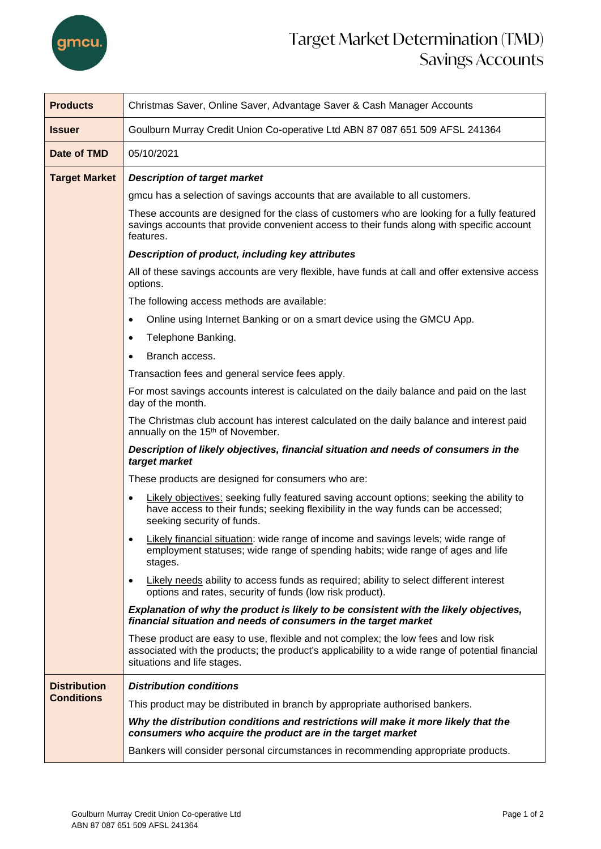

## Target Market Determination (TMD) Savings Accounts

| <b>Products</b>      | Christmas Saver, Online Saver, Advantage Saver & Cash Manager Accounts                                                                                                                                                                             |  |  |  |
|----------------------|----------------------------------------------------------------------------------------------------------------------------------------------------------------------------------------------------------------------------------------------------|--|--|--|
| <b>Issuer</b>        | Goulburn Murray Credit Union Co-operative Ltd ABN 87 087 651 509 AFSL 241364                                                                                                                                                                       |  |  |  |
| Date of TMD          | 05/10/2021                                                                                                                                                                                                                                         |  |  |  |
| <b>Target Market</b> | <b>Description of target market</b>                                                                                                                                                                                                                |  |  |  |
|                      | gmcu has a selection of savings accounts that are available to all customers.                                                                                                                                                                      |  |  |  |
|                      | These accounts are designed for the class of customers who are looking for a fully featured<br>savings accounts that provide convenient access to their funds along with specific account<br>features.                                             |  |  |  |
|                      | Description of product, including key attributes                                                                                                                                                                                                   |  |  |  |
|                      | All of these savings accounts are very flexible, have funds at call and offer extensive access<br>options.                                                                                                                                         |  |  |  |
|                      | The following access methods are available:                                                                                                                                                                                                        |  |  |  |
|                      | Online using Internet Banking or on a smart device using the GMCU App.                                                                                                                                                                             |  |  |  |
|                      | Telephone Banking.<br>٠<br>Branch access.                                                                                                                                                                                                          |  |  |  |
|                      |                                                                                                                                                                                                                                                    |  |  |  |
|                      | Transaction fees and general service fees apply.                                                                                                                                                                                                   |  |  |  |
|                      | For most savings accounts interest is calculated on the daily balance and paid on the last<br>day of the month.                                                                                                                                    |  |  |  |
|                      | The Christmas club account has interest calculated on the daily balance and interest paid<br>annually on the 15 <sup>th</sup> of November.<br>Description of likely objectives, financial situation and needs of consumers in the<br>target market |  |  |  |
|                      |                                                                                                                                                                                                                                                    |  |  |  |
|                      | These products are designed for consumers who are:                                                                                                                                                                                                 |  |  |  |
|                      | Likely objectives: seeking fully featured saving account options; seeking the ability to<br>have access to their funds; seeking flexibility in the way funds can be accessed;<br>seeking security of funds.                                        |  |  |  |
|                      | <b>Likely financial situation:</b> wide range of income and savings levels; wide range of<br>٠<br>employment statuses; wide range of spending habits; wide range of ages and life<br>stages.                                                       |  |  |  |
|                      | <b>Likely needs ability to access funds as required; ability to select different interest</b><br>$\bullet$<br>options and rates, security of funds (low risk product).                                                                             |  |  |  |
|                      | Explanation of why the product is likely to be consistent with the likely objectives,<br>financial situation and needs of consumers in the target market                                                                                           |  |  |  |
|                      | These product are easy to use, flexible and not complex; the low fees and low risk<br>associated with the products; the product's applicability to a wide range of potential financial<br>situations and life stages.                              |  |  |  |
| <b>Distribution</b>  | <b>Distribution conditions</b>                                                                                                                                                                                                                     |  |  |  |
| <b>Conditions</b>    | This product may be distributed in branch by appropriate authorised bankers.                                                                                                                                                                       |  |  |  |
|                      | Why the distribution conditions and restrictions will make it more likely that the<br>consumers who acquire the product are in the target market                                                                                                   |  |  |  |
|                      | Bankers will consider personal circumstances in recommending appropriate products.                                                                                                                                                                 |  |  |  |